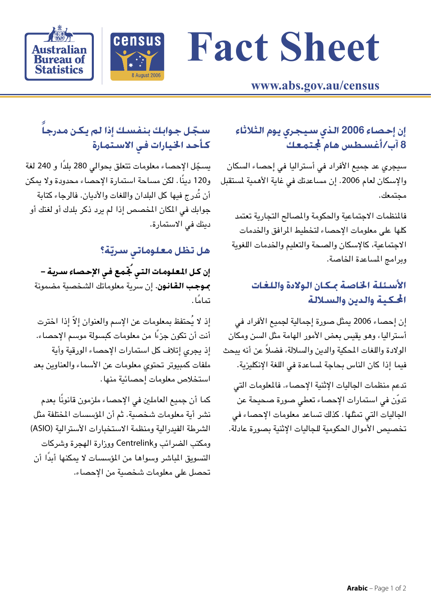# **Fact Sheet**



**Australian Bureau of Statistics** 

## www.abs.gov.au/census

# سـجّل جـوابك بنفسـك إذا لم يـكـن مـدرجـاً كأحد الخيارات فى الاستمارة

يسجّل الإحصاء معلومات تتعلق بحوالى 280 بلدًا و 240 لغة و120 دينًا. لكن مساحة استمارة الإحصاء محدودة ولا يمكن أن تُدرج فيها كل البلدان واللغات والأديان. فالرجاء كتابة جوابك في المكان المخصص إذا لم يرد ذكر بلدك أو لغتك أو دينك في الاستمارة.

## هل تظل معلوماتي سريّة؟

إن كـل المعـلـومات الـتـى جّـمـع فـى الإحـصـاء سـريـة – **بموجب القانون.** إن سرية معلوماتك الشخصية مضمونة تمامًا .

إذ لا يُحتفظ بمعلومات عن الإسم والعنوان إلاّ إذا اخترت أنت أن تكون جزءًا من معلومات كبسولة موسم الإحصاء. إذ يجري إتلاف كل استمارات الإحصاء الورقية وأية ملفات كمبيوتر تحتوى معلومات عن الأسماء والعناوين بعد استخلاص معلومات إحصائية منها.

كما أن جميع العاملين في الإحصاء ملزمون قانونًا بعدم نشر أية معلومات شخصية. ثم أن المؤسسات المختلفة مثل الشرطة الفيدرالية ومنظمة الاستخبارات الأسترالية (ASIO) ومكتب الضرائب وCentrelink ووزارة الهجرة وشركات التسويق المباشر وسواها من المؤسسات لا يمكنها أبدًا أن تحصل على معلومات شخصية من الإحصاء.

## إن إحصاء 2006 الذي سيجري يوم الثلاثاء 8 آب/أغسطس هام ّ لجتمعكّ

سيجري عد جميع الأفراد في أستراليا في إحصاء السكان والإسكان لعام 2006. إن مساعدتك في غاية الأهمية لمستقبل مجتمعك.

فالمظمات الاجتماعية والحكومة والمصالح التجارية تعتمد كلها على معلومات الإحصاء لتخطيط المرافق والخدمات الاجتماعية، كالإسكان والصحة والتعليم والخدمات اللغوية وبرامج المساعدة الخاصة.

#### الأسئلة الخاصة مكان الولادة واللغات المكية والدين والسلالة

إن إحصاء 2006 يمثل صورة إجمالية لجميع الأفراد فى أستراليا، وهو يقيس بعض الأمور الهامة مثل السن ومكان الولادة واللغات المحكية والدين والسلالة، فضلاً عن أنه يبحث فيما إذا كان الناس بحاجة لمساعدة في اللغة الإنكليزية.

تدعم منظمات الجاليات الإثنية الإحصاء. فالملومات التي تدوّن في استمارات الإحصاء تعطى صورة صحيحة عن الجاليات التي تمثلها. كذلك تساعد معلومات الإحصاء في تخصيص الأموال الحكومية للجاليات الإثنية بصورة عادلة.